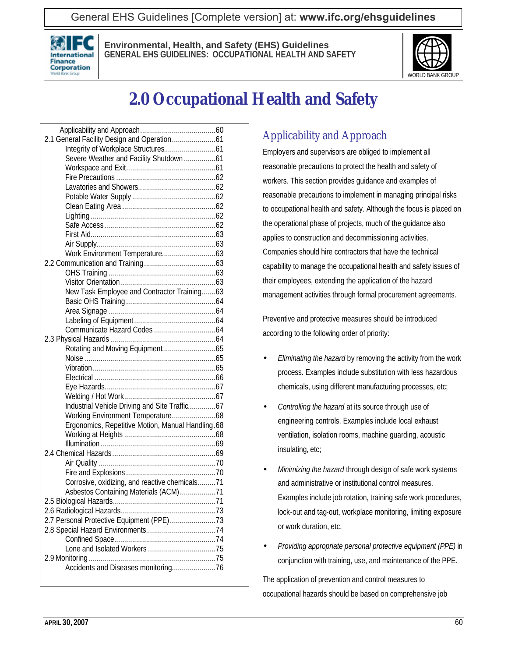General EHS Guidelines [Complete version] at: **[www.ifc.org/ehsguidelines](http://www.ifc.org/ehsguidelines)**



**Environmental, Health, and Safety (EHS) Guidelines GENERAL EHS GUIDELINES: OCCUPATIONAL HEALTH AND SAFETY**



# **2.0 Occupational Health and Safety**

| Severe Weather and Facility Shutdown 61           |
|---------------------------------------------------|
|                                                   |
|                                                   |
|                                                   |
|                                                   |
|                                                   |
|                                                   |
|                                                   |
|                                                   |
|                                                   |
|                                                   |
|                                                   |
|                                                   |
|                                                   |
| New Task Employee and Contractor Training63       |
|                                                   |
|                                                   |
|                                                   |
|                                                   |
|                                                   |
|                                                   |
|                                                   |
|                                                   |
|                                                   |
|                                                   |
|                                                   |
| Industrial Vehicle Driving and Site Traffic67     |
|                                                   |
| Ergonomics, Repetitive Motion, Manual Handling.68 |
|                                                   |
|                                                   |
|                                                   |
|                                                   |
|                                                   |
| Corrosive, oxidizing, and reactive chemicals71    |
| Asbestos Containing Materials (ACM)71             |
|                                                   |
|                                                   |
| 2.7 Personal Protective Equipment (PPE)73         |
|                                                   |
|                                                   |
|                                                   |
|                                                   |
|                                                   |
|                                                   |

## Applicability and Approach

Employers and supervisors are obliged to implement all reasonable precautions to protect the health and safety of workers. This section provides guidance and examples of reasonable precautions to implement in managing principal risks to occupational health and safety. Although the focus is placed on the operational phase of projects, much of the guidance also applies to construction and decommissioning activities. Companies should hire contractors that have the technical capability to manage the occupational health and safety issues of their employees, extending the application of the hazard management activities through formal procurement agreements.

Preventive and protective measures should be introduced according to the following order of priority:

- *Eliminating the hazard* by removing the activity from the work process. Examples include substitution with less hazardous chemicals, using different manufacturing processes, etc;
- *Controlling the hazard* at its source through use of engineering controls. Examples include local exhaust ventilation, isolation rooms, machine guarding, acoustic insulating, etc;
- *Minimizing the hazard* through design of safe work systems and administrative or institutional control measures. Examples include job rotation, training safe work procedures, lock-out and tag-out, workplace monitoring, limiting exposure or work duration, etc.
- *Providing appropriate personal protective equipment (PPE)* in conjunction with training, use, and maintenance of the PPE.

The application of prevention and control measures to occupational hazards should be based on comprehensive job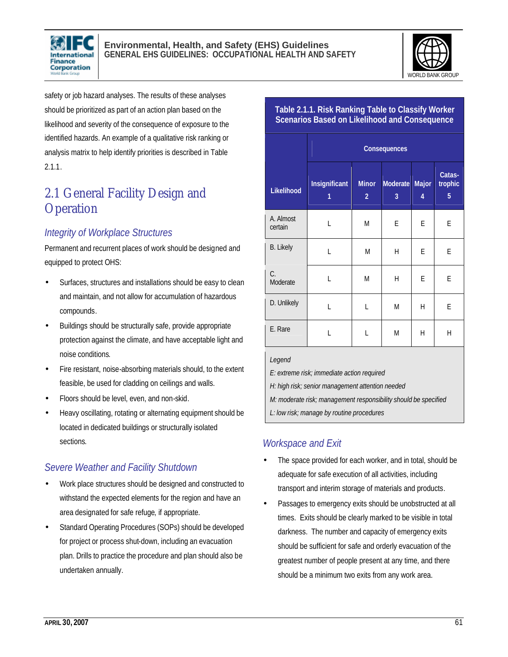



safety or job hazard analyses. The results of these analyses should be prioritized as part of an action plan based on the likelihood and severity of the consequence of exposure to the identified hazards. An example of a qualitative risk ranking or analysis matrix to help identify priorities is described in Table 2.1.1.

## 2.1 General Facility Design and **Operation**

## *Integrity of Workplace Structures*

Permanent and recurrent places of work should be designed and equipped to protect OHS:

- Surfaces, structures and installations should be easy to clean and maintain, and not allow for accumulation of hazardous compounds.
- Buildings should be structurally safe, provide appropriate protection against the climate, and have acceptable light and noise conditions.
- Fire resistant, noise-absorbing materials should, to the extent feasible, be used for cladding on ceilings and walls.
- Floors should be level, even, and non-skid.
- Heavy oscillating, rotating or alternating equipment should be located in dedicated buildings or structurally isolated sections.

## *Severe Weather and Facility Shutdown*

- Work place structures should be designed and constructed to withstand the expected elements for the region and have an area designated for safe refuge, if appropriate.
- Standard Operating Procedures (SOPs) should be developed for project or process shut-down, including an evacuation plan. Drills to practice the procedure and plan should also be undertaken annually.

|                      | Consequences       |                                |               |            |                        |
|----------------------|--------------------|--------------------------------|---------------|------------|------------------------|
| Likelihood           | Insignificant<br>1 | <b>Minor</b><br>$\overline{a}$ | Moderate<br>3 | Major<br>4 | Catas-<br>trophic<br>5 |
| A. Almost<br>certain | L                  | M                              | E             | E          | E                      |
| <b>B.</b> Likely     | L                  | M                              | Н             | E          | E                      |
| C.<br>Moderate       | L                  | M                              | Н             | E          | E                      |
| D. Unlikely          | L                  | L                              | Μ             | Н          | E                      |
| E. Rare              | L                  | L                              | M             | Η          | $\overline{H}$         |
|                      |                    |                                |               |            |                        |

**Table 2.1.1. Risk Ranking Table to Classify Worker Scenarios Based on Likelihood and Consequence** 

*Legend* 

*E: extreme risk; immediate action required*

*H: high risk; senior management attention needed*

*M: moderate risk; management responsibility should be specified*

*L: low risk; manage by routine procedures*

## *Workspace and Exit*

- The space provided for each worker, and in total, should be adequate for safe execution of all activities, including transport and interim storage of materials and products.
- Passages to emergency exits should be unobstructed at all times. Exits should be clearly marked to be visible in total darkness. The number and capacity of emergency exits should be sufficient for safe and orderly evacuation of the greatest number of people present at any time, and there should be a minimum two exits from any work area.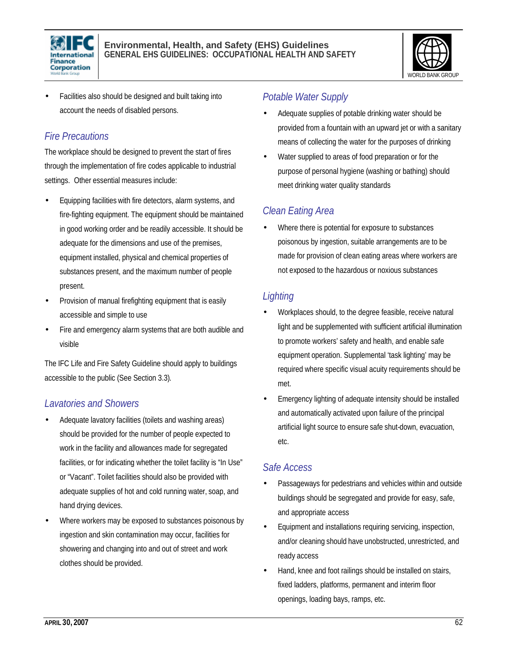



• Facilities also should be designed and built taking into account the needs of disabled persons.

## *Fire Precautions*

The workplace should be designed to prevent the start of fires through the implementation of fire codes applicable to industrial settings. Other essential measures include:

- Equipping facilities with fire detectors, alarm systems, and fire-fighting equipment. The equipment should be maintained in good working order and be readily accessible. It should be adequate for the dimensions and use of the premises, equipment installed, physical and chemical properties of substances present, and the maximum number of people present.
- Provision of manual firefighting equipment that is easily accessible and simple to use
- Fire and emergency alarm systems that are both audible and visible

The IFC Life and Fire Safety Guideline should apply to buildings accessible to the public (See Section 3.3).

## *Lavatories and Showers*

- Adequate lavatory facilities (toilets and washing areas) should be provided for the number of people expected to work in the facility and allowances made for segregated facilities, or for indicating whether the toilet facility is "In Use" or "Vacant". Toilet facilities should also be provided with adequate supplies of hot and cold running water, soap, and hand drying devices.
- Where workers may be exposed to substances poisonous by ingestion and skin contamination may occur, facilities for showering and changing into and out of street and work clothes should be provided.

## *Potable Water Supply*

- Adequate supplies of potable drinking water should be provided from a fountain with an upward jet or with a sanitary means of collecting the water for the purposes of drinking
- Water supplied to areas of food preparation or for the purpose of personal hygiene (washing or bathing) should meet drinking water quality standards

## *Clean Eating Area*

Where there is potential for exposure to substances poisonous by ingestion, suitable arrangements are to be made for provision of clean eating areas where workers are not exposed to the hazardous or noxious substances

## *Lighting*

- Workplaces should, to the degree feasible, receive natural light and be supplemented with sufficient artificial illumination to promote workers' safety and health, and enable safe equipment operation. Supplemental 'task lighting' may be required where specific visual acuity requirements should be met.
- Emergency lighting of adequate intensity should be installed and automatically activated upon failure of the principal artificial light source to ensure safe shut-down, evacuation, etc.

## *Safe Access*

- Passageways for pedestrians and vehicles within and outside buildings should be segregated and provide for easy, safe, and appropriate access
- Equipment and installations requiring servicing, inspection, and/or cleaning should have unobstructed, unrestricted, and ready access
- Hand, knee and foot railings should be installed on stairs, fixed ladders, platforms, permanent and interim floor openings, loading bays, ramps, etc.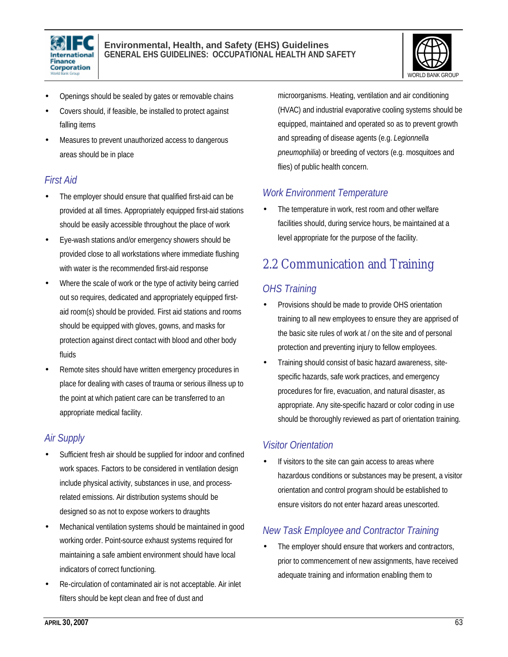



- Openings should be sealed by gates or removable chains
- Covers should, if feasible, be installed to protect against falling items
- Measures to prevent unauthorized access to dangerous areas should be in place

## *First Aid*

- The employer should ensure that qualified first-aid can be provided at all times. Appropriately equipped first-aid stations should be easily accessible throughout the place of work
- Eye-wash stations and/or emergency showers should be provided close to all workstations where immediate flushing with water is the recommended first-aid response
- Where the scale of work or the type of activity being carried out so requires, dedicated and appropriately equipped firstaid room(s) should be provided. First aid stations and rooms should be equipped with gloves, gowns, and masks for protection against direct contact with blood and other body fluids
- Remote sites should have written emergency procedures in place for dealing with cases of trauma or serious illness up to the point at which patient care can be transferred to an appropriate medical facility.

#### *Air Supply*

- Sufficient fresh air should be supplied for indoor and confined work spaces. Factors to be considered in ventilation design include physical activity, substances in use, and processrelated emissions. Air distribution systems should be designed so as not to expose workers to draughts
- Mechanical ventilation systems should be maintained in good working order. Point-source exhaust systems required for maintaining a safe ambient environment should have local indicators of correct functioning.
- Re-circulation of contaminated air is not acceptable. Air inlet filters should be kept clean and free of dust and

microorganisms. Heating, ventilation and air conditioning (HVAC) and industrial evaporative cooling systems should be equipped, maintained and operated so as to prevent growth and spreading of disease agents (e.g. *Legionnella pneumophilia*) or breeding of vectors (e.g. mosquitoes and flies) of public health concern.

#### *Work Environment Temperature*

The temperature in work, rest room and other welfare facilities should, during service hours, be maintained at a level appropriate for the purpose of the facility.

## 2.2 Communication and Training

## *OHS Training*

- Provisions should be made to provide OHS orientation training to all new employees to ensure they are apprised of the basic site rules of work at / on the site and of personal protection and preventing injury to fellow employees.
- Training should consist of basic hazard awareness, sitespecific hazards, safe work practices, and emergency procedures for fire, evacuation, and natural disaster, as appropriate. Any site-specific hazard or color coding in use should be thoroughly reviewed as part of orientation training.

## *Visitor Orientation*

If visitors to the site can gain access to areas where hazardous conditions or substances may be present, a visitor orientation and control program should be established to ensure visitors do not enter hazard areas unescorted.

## *New Task Employee and Contractor Training*

The employer should ensure that workers and contractors, prior to commencement of new assignments, have received adequate training and information enabling them to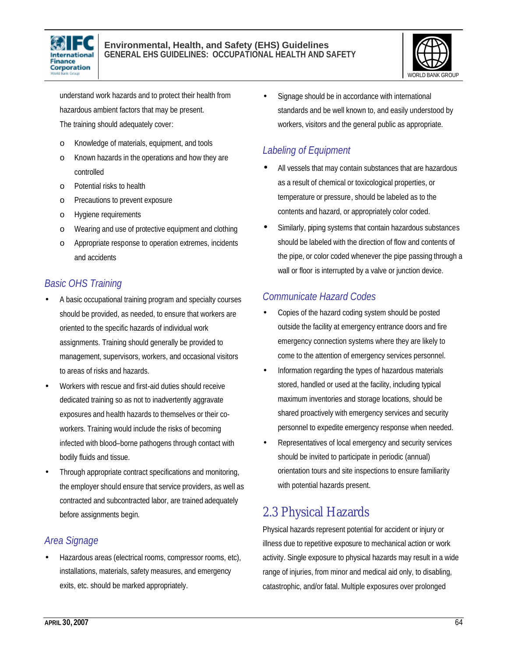



understand work hazards and to protect their health from hazardous ambient factors that may be present. The training should adequately cover:

- o Knowledge of materials, equipment, and tools
- o Known hazards in the operations and how they are controlled
- o Potential risks to health
- o Precautions to prevent exposure
- o Hygiene requirements
- o Wearing and use of protective equipment and clothing
- o Appropriate response to operation extremes, incidents and accidents

## *Basic OHS Training*

- A basic occupational training program and specialty courses should be provided, as needed, to ensure that workers are oriented to the specific hazards of individual work assignments. Training should generally be provided to management, supervisors, workers, and occasional visitors to areas of risks and hazards.
- Workers with rescue and first-aid duties should receive dedicated training so as not to inadvertently aggravate exposures and health hazards to themselves or their coworkers. Training would include the risks of becoming infected with blood–borne pathogens through contact with bodily fluids and tissue.
- Through appropriate contract specifications and monitoring, the employer should ensure that service providers, as well as contracted and subcontracted labor, are trained adequately before assignments begin.

## *Area Signage*

• Hazardous areas (electrical rooms, compressor rooms, etc), installations, materials, safety measures, and emergency exits, etc. should be marked appropriately.

Signage should be in accordance with international standards and be well known to, and easily understood by workers, visitors and the general public as appropriate.

## *Labeling of Equipment*

- All vessels that may contain substances that are hazardous as a result of chemical or toxicological properties, or temperature or pressure, should be labeled as to the contents and hazard, or appropriately color coded.
- Similarly, piping systems that contain hazardous substances should be labeled with the direction of flow and contents of the pipe, or color coded whenever the pipe passing through a wall or floor is interrupted by a valve or junction device.

#### *Communicate Hazard Codes*

- Copies of the hazard coding system should be posted outside the facility at emergency entrance doors and fire emergency connection systems where they are likely to come to the attention of emergency services personnel.
- Information regarding the types of hazardous materials stored, handled or used at the facility, including typical maximum inventories and storage locations, should be shared proactively with emergency services and security personnel to expedite emergency response when needed.
- Representatives of local emergency and security services should be invited to participate in periodic (annual) orientation tours and site inspections to ensure familiarity with potential hazards present.

## 2.3 Physical Hazards

Physical hazards represent potential for accident or injury or illness due to repetitive exposure to mechanical action or work activity. Single exposure to physical hazards may result in a wide range of injuries, from minor and medical aid only, to disabling, catastrophic, and/or fatal. Multiple exposures over prolonged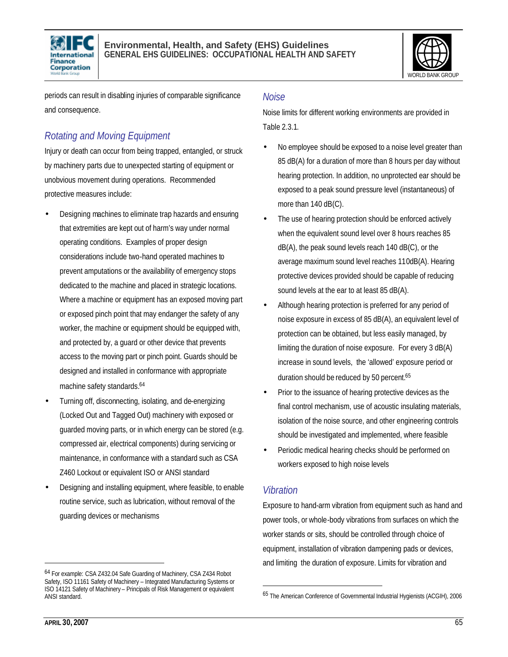



periods can result in disabling injuries of comparable significance and consequence.

## *Rotating and Moving Equipment*

Injury or death can occur from being trapped, entangled, or struck by machinery parts due to unexpected starting of equipment or unobvious movement during operations. Recommended protective measures include:

- Designing machines to eliminate trap hazards and ensuring that extremities are kept out of harm's way under normal operating conditions. Examples of proper design considerations include two-hand operated machines to prevent amputations or the availability of emergency stops dedicated to the machine and placed in strategic locations. Where a machine or equipment has an exposed moving part or exposed pinch point that may endanger the safety of any worker, the machine or equipment should be equipped with, and protected by, a guard or other device that prevents access to the moving part or pinch point. Guards should be designed and installed in conformance with appropriate machine safety standards. 64
- Turning off, disconnecting, isolating, and de-energizing (Locked Out and Tagged Out) machinery with exposed or guarded moving parts, or in which energy can be stored (e.g. compressed air, electrical components) during servicing or maintenance, in conformance with a standard such as CSA Z460 Lockout or equivalent ISO or ANSI standard
- Designing and installing equipment, where feasible, to enable routine service, such as lubrication, without removal of the guarding devices or mechanisms

#### *Noise*

Noise limits for different working environments are provided in Table 2.3.1.

- No employee should be exposed to a noise level greater than 85 dB(A) for a duration of more than 8 hours per day without hearing protection. In addition, no unprotected ear should be exposed to a peak sound pressure level (instantaneous) of more than 140 dB(C).
- The use of hearing protection should be enforced actively when the equivalent sound level over 8 hours reaches 85 dB(A), the peak sound levels reach 140 dB(C), or the average maximum sound level reaches 110dB(A). Hearing protective devices provided should be capable of reducing sound levels at the ear to at least 85 dB(A).
- Although hearing protection is preferred for any period of noise exposure in excess of 85 dB(A), an equivalent level of protection can be obtained, but less easily managed, by limiting the duration of noise exposure. For every 3 dB(A) increase in sound levels, the 'allowed' exposure period or duration should be reduced by 50 percent.<sup>65</sup>
- Prior to the issuance of hearing protective devices as the final control mechanism, use of acoustic insulating materials, isolation of the noise source, and other engineering controls should be investigated and implemented, where feasible
- Periodic medical hearing checks should be performed on workers exposed to high noise levels

#### *Vibration*

l

Exposure to hand-arm vibration from equipment such as hand and power tools, or whole-body vibrations from surfaces on which the worker stands or sits, should be controlled through choice of equipment, installation of vibration dampening pads or devices, and limiting the duration of exposure. Limits for vibration and

<sup>64</sup> For example: CSA Z432.04 Safe Guarding of Machinery, CSA Z434 Robot Safety, ISO 11161 Safety of Machinery - Integrated Manufacturing Systems or ISO 14121 Safety of Machinery – Principals of Risk Management or equivalent ANSI standard.

<sup>65</sup> The American Conference of Governmental Industrial Hygienists (ACGIH), 2006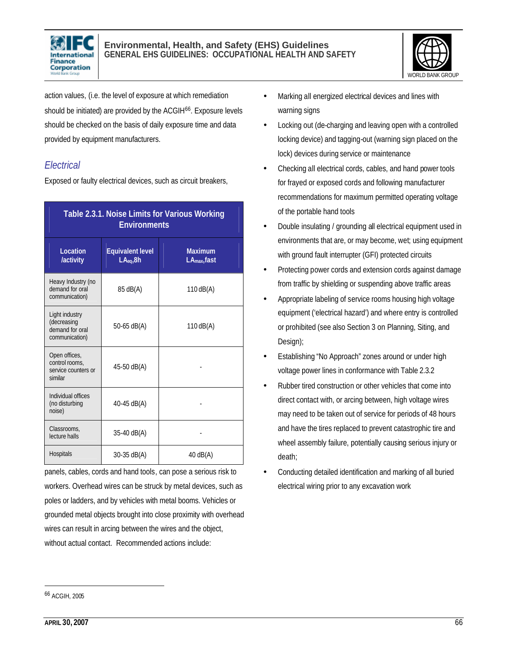



action values, (i.e. the level of exposure at which remediation should be initiated) are provided by the ACGIH<sup>66</sup>. Exposure levels should be checked on the basis of daily exposure time and data provided by equipment manufacturers.

## *Electrical*

Exposed or faulty electrical devices, such as circuit breakers,

| Table 2.3.1. Noise Limits for Various Working<br><b>Environments</b> |                                                  |                                            |  |
|----------------------------------------------------------------------|--------------------------------------------------|--------------------------------------------|--|
| Location<br>/activity                                                | <b>Equivalent level</b><br>LA <sub>eq</sub> , 8h | <b>Maximum</b><br>LA <sub>max</sub> , fast |  |
| Heavy Industry (no<br>demand for oral<br>communication)              | 85 dB(A)                                         | 110 $dB(A)$                                |  |
| Light industry<br>(decreasing<br>demand for oral<br>communication)   | 50-65 $dB(A)$                                    | 110 $dB(A)$                                |  |
| Open offices,<br>control rooms,<br>service counters or<br>similar    | 45-50 dB(A)                                      |                                            |  |
| Individual offices<br>(no disturbing<br>noise)                       | 40-45 $dB(A)$                                    |                                            |  |
| Classrooms.<br>lecture halls                                         | $35-40$ dB(A)                                    |                                            |  |
| <b>Hospitals</b>                                                     | $30-35$ dB(A)                                    | $40$ dB(A)                                 |  |

panels, cables, cords and hand tools, can pose a serious risk to workers. Overhead wires can be struck by metal devices, such as poles or ladders, and by vehicles with metal booms. Vehicles or grounded metal objects brought into close proximity with overhead wires can result in arcing between the wires and the object, without actual contact. Recommended actions include:

- Marking all energized electrical devices and lines with warning signs
- Locking out (de-charging and leaving open with a controlled locking device) and tagging-out (warning sign placed on the lock) devices during service or maintenance
- Checking all electrical cords, cables, and hand power tools for frayed or exposed cords and following manufacturer recommendations for maximum permitted operating voltage of the portable hand tools
- Double insulating / grounding all electrical equipment used in environments that are, or may become, wet; using equipment with ground fault interrupter (GFI) protected circuits
- Protecting power cords and extension cords against damage from traffic by shielding or suspending above traffic areas
- Appropriate labeling of service rooms housing high voltage equipment ('electrical hazard') and where entry is controlled or prohibited (see also Section 3 on Planning, Siting, and Design);
- Establishing "No Approach" zones around or under high voltage power lines in conformance with Table 2.3.2
- Rubber tired construction or other vehicles that come into direct contact with, or arcing between, high voltage wires may need to be taken out of service for periods of 48 hours and have the tires replaced to prevent catastrophic tire and wheel assembly failure, potentially causing serious injury or death;
- Conducting detailed identification and marking of all buried electrical wiring prior to any excavation work

<sup>66</sup> ACGIH, 2005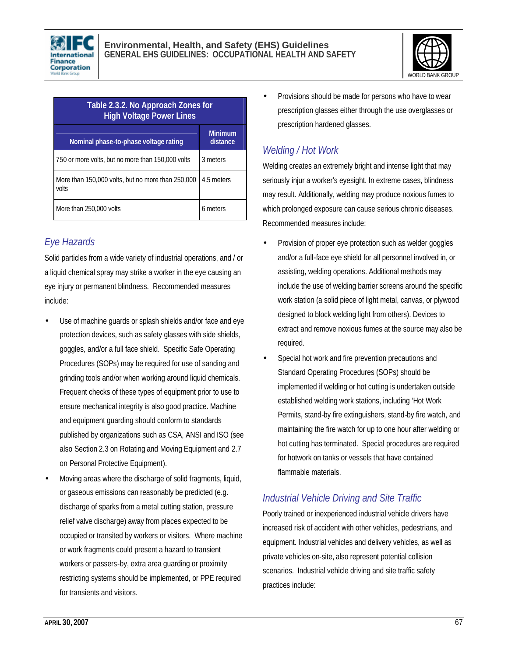



| Table 2.3.2. No Approach Zones for<br><b>High Voltage Power Lines</b> |                            |  |
|-----------------------------------------------------------------------|----------------------------|--|
| Nominal phase-to-phase voltage rating                                 | <b>Minimum</b><br>distance |  |
| 750 or more volts, but no more than 150,000 volts                     | 3 meters                   |  |
| More than 150,000 volts, but no more than 250,000<br>volts            | 4.5 meters                 |  |
| More than 250,000 volts                                               | 6 meters                   |  |

## *Eye Hazards*

Solid particles from a wide variety of industrial operations, and / or a liquid chemical spray may strike a worker in the eye causing an eye injury or permanent blindness. Recommended measures include:

- Use of machine guards or splash shields and/or face and eye protection devices, such as safety glasses with side shields, goggles, and/or a full face shield. Specific Safe Operating Procedures (SOPs) may be required for use of sanding and grinding tools and/or when working around liquid chemicals. Frequent checks of these types of equipment prior to use to ensure mechanical integrity is also good practice. Machine and equipment guarding should conform to standards published by organizations such as CSA, ANSI and ISO (see also Section 2.3 on Rotating and Moving Equipment and 2.7 on Personal Protective Equipment).
- Moving areas where the discharge of solid fragments, liquid, or gaseous emissions can reasonably be predicted (e.g. discharge of sparks from a metal cutting station, pressure relief valve discharge) away from places expected to be occupied or transited by workers or visitors. Where machine or work fragments could present a hazard to transient workers or passers-by, extra area guarding or proximity restricting systems should be implemented, or PPE required for transients and visitors.

• Provisions should be made for persons who have to wear prescription glasses either through the use overglasses or prescription hardened glasses.

## *Welding / Hot Work*

Welding creates an extremely bright and intense light that may seriously injur a worker's eyesight. In extreme cases, blindness may result. Additionally, welding may produce noxious fumes to which prolonged exposure can cause serious chronic diseases. Recommended measures include:

- Provision of proper eye protection such as welder goggles and/or a full-face eye shield for all personnel involved in, or assisting, welding operations. Additional methods may include the use of welding barrier screens around the specific work station (a solid piece of light metal, canvas, or plywood designed to block welding light from others). Devices to extract and remove noxious fumes at the source may also be required.
- Special hot work and fire prevention precautions and Standard Operating Procedures (SOPs) should be implemented if welding or hot cutting is undertaken outside established welding work stations, including 'Hot Work Permits, stand-by fire extinguishers, stand-by fire watch, and maintaining the fire watch for up to one hour after welding or hot cutting has terminated. Special procedures are required for hotwork on tanks or vessels that have contained flammable materials.

## *Industrial Vehicle Driving and Site Traffic*

Poorly trained or inexperienced industrial vehicle drivers have increased risk of accident with other vehicles, pedestrians, and equipment. Industrial vehicles and delivery vehicles, as well as private vehicles on-site, also represent potential collision scenarios. Industrial vehicle driving and site traffic safety practices include: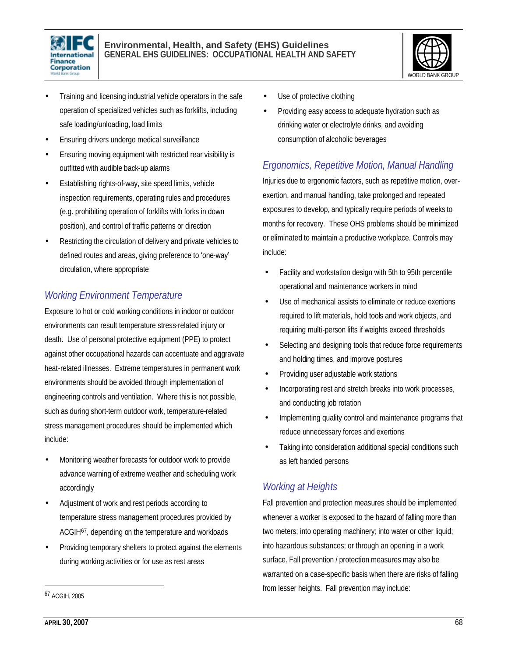



- Training and licensing industrial vehicle operators in the safe operation of specialized vehicles such as forklifts, including safe loading/unloading, load limits
- Ensuring drivers undergo medical surveillance
- Ensuring moving equipment with restricted rear visibility is outfitted with audible back-up alarms
- Establishing rights-of-way, site speed limits, vehicle inspection requirements, operating rules and procedures (e.g. prohibiting operation of forklifts with forks in down position), and control of traffic patterns or direction
- Restricting the circulation of delivery and private vehicles to defined routes and areas, giving preference to 'one-way' circulation, where appropriate

## *Working Environment Temperature*

Exposure to hot or cold working conditions in indoor or outdoor environments can result temperature stress-related injury or death. Use of personal protective equipment (PPE) to protect against other occupational hazards can accentuate and aggravate heat-related illnesses. Extreme temperatures in permanent work environments should be avoided through implementation of engineering controls and ventilation. Where this is not possible, such as during short-term outdoor work, temperature-related stress management procedures should be implemented which include:

- Monitoring weather forecasts for outdoor work to provide advance warning of extreme weather and scheduling work accordingly
- Adjustment of work and rest periods according to temperature stress management procedures provided by ACGIH67, depending on the temperature and workloads
- Providing temporary shelters to protect against the elements during working activities or for use as rest areas
- Use of protective clothing
- Providing easy access to adequate hydration such as drinking water or electrolyte drinks, and avoiding consumption of alcoholic beverages

## *Ergonomics, Repetitive Motion, Manual Handling*

Injuries due to ergonomic factors, such as repetitive motion, overexertion, and manual handling, take prolonged and repeated exposures to develop, and typically require periods of weeks to months for recovery. These OHS problems should be minimized or eliminated to maintain a productive workplace. Controls may include:

- Facility and workstation design with 5th to 95th percentile operational and maintenance workers in mind
- Use of mechanical assists to eliminate or reduce exertions required to lift materials, hold tools and work objects, and requiring multi-person lifts if weights exceed thresholds
- Selecting and designing tools that reduce force requirements and holding times, and improve postures
- Providing user adjustable work stations
- Incorporating rest and stretch breaks into work processes, and conducting job rotation
- Implementing quality control and maintenance programs that reduce unnecessary forces and exertions
- Taking into consideration additional special conditions such as left handed persons

## *Working at Heights*

Fall prevention and protection measures should be implemented whenever a worker is exposed to the hazard of falling more than two meters; into operating machinery; into water or other liquid; into hazardous substances; or through an opening in a work surface. Fall prevention / protection measures may also be warranted on a case-specific basis when there are risks of falling from lesser heights. Fall prevention may include:

<sup>67</sup> ACGIH, 2005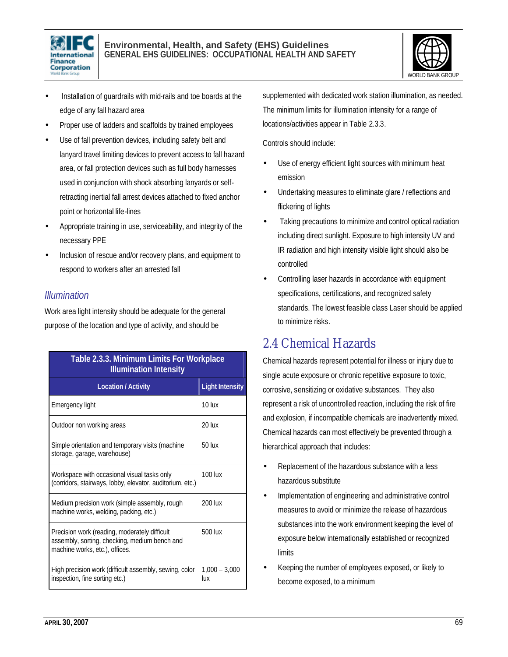



- Installation of guardrails with mid-rails and toe boards at the edge of any fall hazard area
- Proper use of ladders and scaffolds by trained employees
- Use of fall prevention devices, including safety belt and lanyard travel limiting devices to prevent access to fall hazard area, or fall protection devices such as full body harnesses used in conjunction with shock absorbing lanyards or selfretracting inertial fall arrest devices attached to fixed anchor point or horizontal life-lines
- Appropriate training in use, serviceability, and integrity of the necessary PPE
- Inclusion of rescue and/or recovery plans, and equipment to respond to workers after an arrested fall

#### *Illumination*

Work area light intensity should be adequate for the general purpose of the location and type of activity, and should be

| Table 2.3.3. Minimum Limits For Workplace<br><b>Illumination Intensity</b>                                                       |                        |  |  |
|----------------------------------------------------------------------------------------------------------------------------------|------------------------|--|--|
| <b>Location / Activity</b>                                                                                                       | <b>Light Intensity</b> |  |  |
| Emergency light                                                                                                                  | $10 \,$ $\mu$          |  |  |
| Outdoor non working areas                                                                                                        | $20$ lux               |  |  |
| Simple orientation and temporary visits (machine<br>storage, garage, warehouse)                                                  | $50$ lux               |  |  |
| Workspace with occasional visual tasks only<br>(corridors, stairways, lobby, elevator, auditorium, etc.)                         | <b>100 lux</b>         |  |  |
| Medium precision work (simple assembly, rough<br>machine works, welding, packing, etc.)                                          | 200 lux                |  |  |
| Precision work (reading, moderately difficult<br>assembly, sorting, checking, medium bench and<br>machine works, etc.), offices. | 500 lux                |  |  |
| High precision work (difficult assembly, sewing, color<br>inspection, fine sorting etc.)                                         | $1,000 - 3,000$<br>lux |  |  |

supplemented with dedicated work station illumination, as needed. The minimum limits for illumination intensity for a range of locations/activities appear in Table 2.3.3.

Controls should include:

- Use of energy efficient light sources with minimum heat emission
- Undertaking measures to eliminate glare / reflections and flickering of lights
- Taking precautions to minimize and control optical radiation including direct sunlight. Exposure to high intensity UV and IR radiation and high intensity visible light should also be controlled
- Controlling laser hazards in accordance with equipment specifications, certifications, and recognized safety standards. The lowest feasible class Laser should be applied to minimize risks.

## 2.4 Chemical Hazards

Chemical hazards represent potential for illness or injury due to single acute exposure or chronic repetitive exposure to toxic, corrosive, sensitizing or oxidative substances. They also represent a risk of uncontrolled reaction, including the risk of fire and explosion, if incompatible chemicals are inadvertently mixed. Chemical hazards can most effectively be prevented through a hierarchical approach that includes:

- Replacement of the hazardous substance with a less hazardous substitute
- Implementation of engineering and administrative control measures to avoid or minimize the release of hazardous substances into the work environment keeping the level of exposure below internationally established or recognized limits
- Keeping the number of employees exposed, or likely to become exposed, to a minimum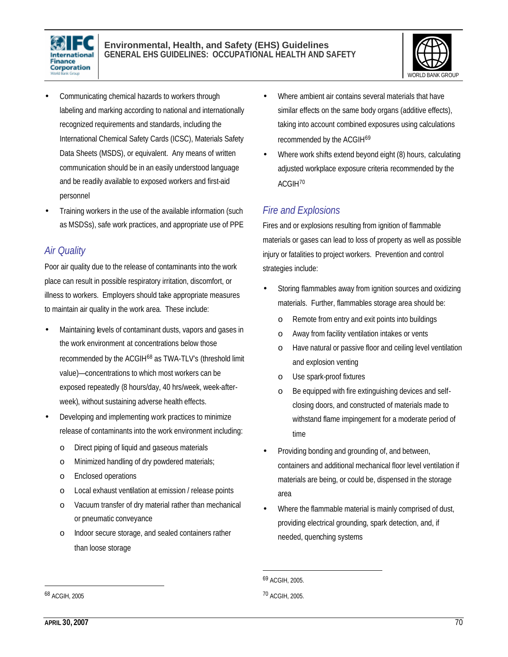



- Communicating chemical hazards to workers through labeling and marking according to national and internationally recognized requirements and standards, including the International Chemical Safety Cards (ICSC), Materials Safety Data Sheets (MSDS), or equivalent. Any means of written communication should be in an easily understood language and be readily available to exposed workers and first-aid personnel
- Training workers in the use of the available information (such as MSDSs), safe work practices, and appropriate use of PPE

#### *Air Quality*

Poor air quality due to the release of contaminants into the work place can result in possible respiratory irritation, discomfort, or illness to workers. Employers should take appropriate measures to maintain air quality in the work area. These include:

- Maintaining levels of contaminant dusts, vapors and gases in the work environment at concentrations below those recommended by the ACGIH<sup>68</sup> as TWA-TLV's (threshold limit value)—concentrations to which most workers can be exposed repeatedly (8 hours/day, 40 hrs/week, week-afterweek), without sustaining adverse health effects.
- Developing and implementing work practices to minimize release of contaminants into the work environment including:
	- o Direct piping of liquid and gaseous materials
	- o Minimized handling of dry powdered materials;
	- o Enclosed operations
	- o Local exhaust ventilation at emission / release points
	- o Vacuum transfer of dry material rather than mechanical or pneumatic conveyance
	- o Indoor secure storage, and sealed containers rather than loose storage
- Where ambient air contains several materials that have similar effects on the same body organs (additive effects), taking into account combined exposures using calculations recommended by the ACGIH<sup>69</sup>
- Where work shifts extend beyond eight (8) hours, calculating adjusted workplace exposure criteria recommended by the ACGIH<sup>70</sup>

## *Fire and Explosions*

Fires and or explosions resulting from ignition of flammable materials or gases can lead to loss of property as well as possible injury or fatalities to project workers. Prevention and control strategies include:

- Storing flammables away from ignition sources and oxidizing materials. Further, flammables storage area should be:
	- o Remote from entry and exit points into buildings
	- o Away from facility ventilation intakes or vents
	- o Have natural or passive floor and ceiling level ventilation and explosion venting
	- o Use spark-proof fixtures
	- o Be equipped with fire extinguishing devices and selfclosing doors, and constructed of materials made to withstand flame impingement for a moderate period of time
- Providing bonding and grounding of, and between, containers and additional mechanical floor level ventilation if materials are being, or could be, dispensed in the storage area
- Where the flammable material is mainly comprised of dust, providing electrical grounding, spark detection, and, if needed, quenching systems

l

<sup>69</sup> ACGIH, 2005.

<sup>70</sup> ACGIH, 2005.

<sup>68</sup> ACGIH, 2005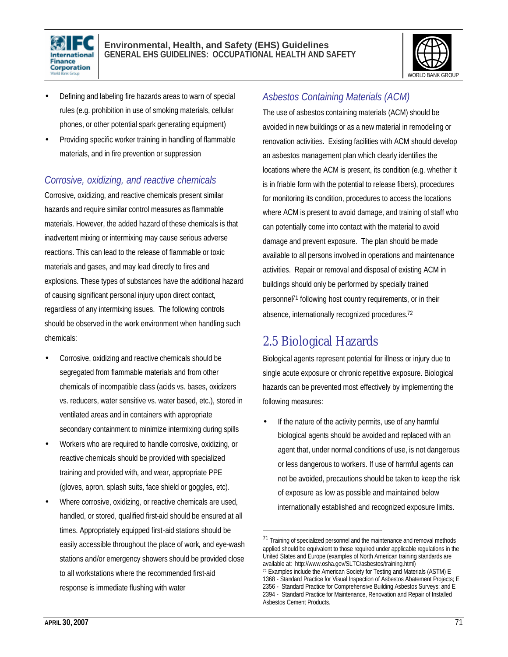



- Defining and labeling fire hazards areas to warn of special rules (e.g. prohibition in use of smoking materials, cellular phones, or other potential spark generating equipment)
- Providing specific worker training in handling of flammable materials, and in fire prevention or suppression

## *Corrosive, oxidizing, and reactive chemicals*

Corrosive, oxidizing, and reactive chemicals present similar hazards and require similar control measures as flammable materials. However, the added hazard of these chemicals is that inadvertent mixing or intermixing may cause serious adverse reactions. This can lead to the release of flammable or toxic materials and gases, and may lead directly to fires and explosions. These types of substances have the additional hazard of causing significant personal injury upon direct contact, regardless of any intermixing issues. The following controls should be observed in the work environment when handling such chemicals:

- Corrosive, oxidizing and reactive chemicals should be segregated from flammable materials and from other chemicals of incompatible class (acids vs. bases, oxidizers vs. reducers, water sensitive vs. water based, etc.), stored in ventilated areas and in containers with appropriate secondary containment to minimize intermixing during spills
- Workers who are required to handle corrosive, oxidizing, or reactive chemicals should be provided with specialized training and provided with, and wear, appropriate PPE (gloves, apron, splash suits, face shield or goggles, etc).
- Where corrosive, oxidizing, or reactive chemicals are used, handled, or stored, qualified first-aid should be ensured at all times. Appropriately equipped first-aid stations should be easily accessible throughout the place of work, and eye-wash stations and/or emergency showers should be provided close to all workstations where the recommended first-aid response is immediate flushing with water

## *Asbestos Containing Materials (ACM)*

The use of asbestos containing materials (ACM) should be avoided in new buildings or as a new material in remodeling or renovation activities. Existing facilities with ACM should develop an asbestos management plan which clearly identifies the locations where the ACM is present, its condition (e.g. whether it is in friable form with the potential to release fibers), procedures for monitoring its condition, procedures to access the locations where ACM is present to avoid damage, and training of staff who can potentially come into contact with the material to avoid damage and prevent exposure. The plan should be made available to all persons involved in operations and maintenance activities. Repair or removal and disposal of existing ACM in buildings should only be performed by specially trained personnel<sup>71</sup> following host country requirements, or in their absence, internationally recognized procedures.<sup>72</sup>

## 2.5 Biological Hazards

 $\overline{a}$ 

Biological agents represent potential for illness or injury due to single acute exposure or chronic repetitive exposure. Biological hazards can be prevented most effectively by implementing the following measures:

If the nature of the activity permits, use of any harmful biological agents should be avoided and replaced with an agent that, under normal conditions of use, is not dangerous or less dangerous to workers. If use of harmful agents can not be avoided, precautions should be taken to keep the risk of exposure as low as possible and maintained below internationally established and recognized exposure limits.

<sup>71</sup> Training of specialized personnel and the maintenance and removal methods applied should be equivalent to those required under applicable regulations in the United States and Europe (examples of North American training standards are available at: http://www.osha.gov/SLTC/asbestos/training.html)

<sup>72</sup> Examples include the American Society for Testing and Materials (ASTM) E

<sup>1368 -</sup> Standard Practice for Visual Inspection of Asbestos Abatement Projects; E

<sup>2356 -</sup> Standard Practice for Comprehensive Building Asbestos Surveys; and E 2394 - Standard Practice for Maintenance, Renovation and Repair of Installed Asbestos Cement Products.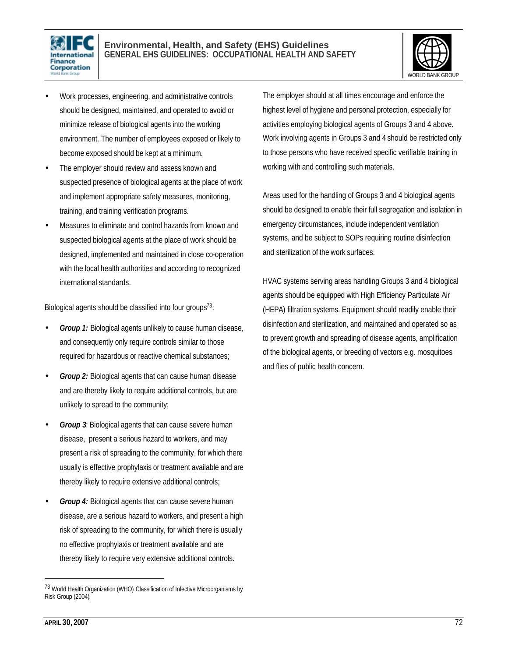



- Work processes, engineering, and administrative controls should be designed, maintained, and operated to avoid or minimize release of biological agents into the working environment. The number of employees exposed or likely to become exposed should be kept at a minimum.
- The employer should review and assess known and suspected presence of biological agents at the place of work and implement appropriate safety measures, monitoring, training, and training verification programs.
- Measures to eliminate and control hazards from known and suspected biological agents at the place of work should be designed, implemented and maintained in close co-operation with the local health authorities and according to recognized international standards.

Biological agents should be classified into four groups<sup>73</sup>:

- *Group 1:* Biological agents unlikely to cause human disease, and consequently only require controls similar to those required for hazardous or reactive chemical substances;
- *Group 2:* Biological agents that can cause human disease and are thereby likely to require additional controls, but are unlikely to spread to the community;
- **Group 3:** Biological agents that can cause severe human disease, present a serious hazard to workers, and may present a risk of spreading to the community, for which there usually is effective prophylaxis or treatment available and are thereby likely to require extensive additional controls;
- **Group 4:** Biological agents that can cause severe human disease, are a serious hazard to workers, and present a high risk of spreading to the community, for which there is usually no effective prophylaxis or treatment available and are thereby likely to require very extensive additional controls.

The employer should at all times encourage and enforce the highest level of hygiene and personal protection, especially for activities employing biological agents of Groups 3 and 4 above. Work involving agents in Groups 3 and 4 should be restricted only to those persons who have received specific verifiable training in working with and controlling such materials.

Areas used for the handling of Groups 3 and 4 biological agents should be designed to enable their full segregation and isolation in emergency circumstances, include independent ventilation systems, and be subject to SOPs requiring routine disinfection and sterilization of the work surfaces.

HVAC systems serving areas handling Groups 3 and 4 biological agents should be equipped with High Efficiency Particulate Air (HEPA) filtration systems. Equipment should readily enable their disinfection and sterilization, and maintained and operated so as to prevent growth and spreading of disease agents, amplification of the biological agents, or breeding of vectors e.g. mosquitoes and flies of public health concern.

 $\overline{a}$ 

<sup>73</sup> World Health Organization (WHO) Classification of Infective Microorganisms by Risk Group (2004).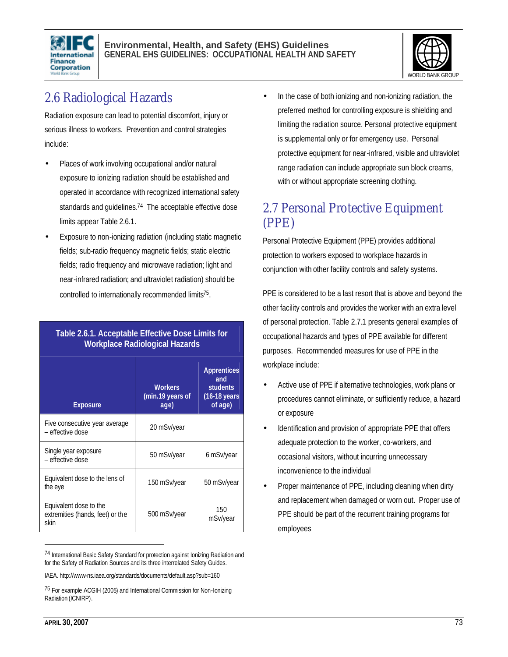



## 2.6 Radiological Hazards

Radiation exposure can lead to potential discomfort, injury or serious illness to workers. Prevention and control strategies include:

- Places of work involving occupational and/or natural exposure to ionizing radiation should be established and operated in accordance with recognized international safety standards and quidelines.<sup>74</sup> The acceptable effective dose limits appear Table 2.6.1.
- Exposure to non-ionizing radiation (including static magnetic fields; sub-radio frequency magnetic fields; static electric fields; radio frequency and microwave radiation; light and near-infrared radiation; and ultraviolet radiation) should be controlled to internationally recommended limits<sup>75</sup>.

| Table 2.6.1. Acceptable Effective Dose Limits for |  |
|---------------------------------------------------|--|
| <b>Workplace Radiological Hazards</b>             |  |

| <b>Exposure</b>                                                    | <b>Workers</b><br>(min.19 years of<br>age) | <b>Apprentices</b><br>and<br><b>students</b><br>$(16-18 \text{ years})$<br>of age) |  |
|--------------------------------------------------------------------|--------------------------------------------|------------------------------------------------------------------------------------|--|
| Five consecutive year average<br>- effective dose                  | 20 mSv/year                                |                                                                                    |  |
| Single year exposure<br>- effective dose                           | 50 mSv/year                                | 6 mSv/year                                                                         |  |
| Equivalent dose to the lens of<br>the eye                          | 150 mSv/year                               | 50 mSv/year                                                                        |  |
| Equivalent dose to the<br>extremities (hands, feet) or the<br>skin | 500 mSv/year                               | 150<br>mSv/year                                                                    |  |

<sup>74</sup> International Basic Safety Standard for protection against Ionizing Radiation and for the Safety of Radiation Sources and its three interrelated Safety Guides.

In the case of both ionizing and non-ionizing radiation, the preferred method for controlling exposure is shielding and limiting the radiation source. Personal protective equipment is supplemental only or for emergency use. Personal protective equipment for near-infrared, visible and ultraviolet range radiation can include appropriate sun block creams, with or without appropriate screening clothing.

## 2.7 Personal Protective Equipment (PPE)

Personal Protective Equipment (PPE) provides additional protection to workers exposed to workplace hazards in conjunction with other facility controls and safety systems.

PPE is considered to be a last resort that is above and beyond the other facility controls and provides the worker with an extra level of personal protection. Table 2.7.1 presents general examples of occupational hazards and types of PPE available for different purposes. Recommended measures for use of PPE in the workplace include:

- Active use of PPE if alternative technologies, work plans or procedures cannot eliminate, or sufficiently reduce, a hazard or exposure
- Identification and provision of appropriate PPE that offers adequate protection to the worker, co-workers, and occasional visitors, without incurring unnecessary inconvenience to the individual
- Proper maintenance of PPE, including cleaning when dirty and replacement when damaged or worn out. Proper use of PPE should be part of the recurrent training programs for employees

 $\overline{a}$ 

IAEA. http://www-ns.iaea.org/standards/documents/default.asp?sub=160

<sup>75</sup> For example ACGIH (2005) and International Commission for Non-Ionizing Radiation (ICNIRP).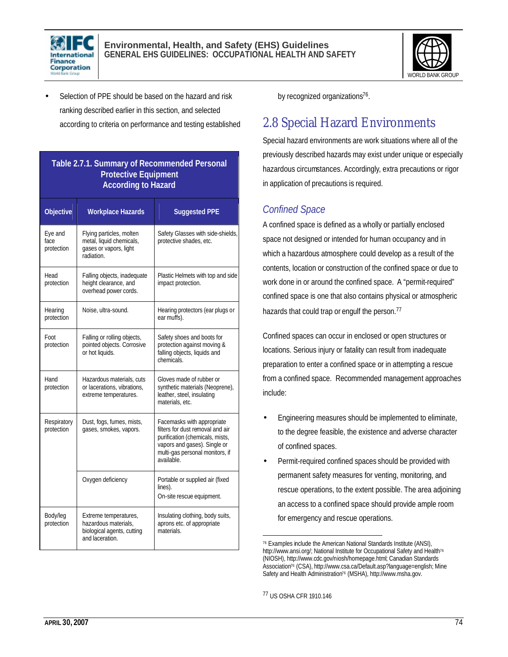



Selection of PPE should be based on the hazard and risk ranking described earlier in this section, and selected according to criteria on performance and testing established

#### **Table 2.7.1. Summary of Recommended Personal Protective Equipment According to Hazard**

| <b>Objective</b>              | <b>Workplace Hazards</b>                                                                       | <b>Suggested PPE</b>                                                                                                                                                               |
|-------------------------------|------------------------------------------------------------------------------------------------|------------------------------------------------------------------------------------------------------------------------------------------------------------------------------------|
| Eye and<br>face<br>protection | Flying particles, molten<br>metal, liquid chemicals,<br>gases or vapors, light<br>radiation.   | Safety Glasses with side-shields,<br>protective shades, etc.                                                                                                                       |
| Head<br>protection            | Falling objects, inadequate<br>height clearance, and<br>overhead power cords.                  | Plastic Helmets with top and side<br>impact protection.                                                                                                                            |
| Hearing<br>protection         | Noise, ultra-sound.                                                                            | Hearing protectors (ear plugs or<br>ear muffs).                                                                                                                                    |
| Foot<br>protection            | Falling or rolling objects,<br>pointed objects. Corrosive<br>or hot liquids.                   | Safety shoes and boots for<br>protection against moving &<br>falling objects, liquids and<br>chemicals.                                                                            |
| Hand<br>protection            | Hazardous materials, cuts<br>or lacerations, vibrations,<br>extreme temperatures.              | Gloves made of rubber or<br>synthetic materials (Neoprene),<br>leather, steel, insulating<br>materials, etc.                                                                       |
| Respiratory<br>protection     | Dust, fogs, fumes, mists,<br>gases, smokes, vapors.                                            | Facemasks with appropriate<br>filters for dust removal and air<br>purification (chemicals, mists,<br>vapors and gases). Single or<br>multi-gas personal monitors, if<br>available. |
|                               | Oxygen deficiency                                                                              | Portable or supplied air (fixed<br>lines).<br>On-site rescue equipment.                                                                                                            |
| Body/leg<br>protection        | Extreme temperatures,<br>hazardous materials.<br>biological agents, cutting<br>and laceration. | Insulating clothing, body suits,<br>aprons etc. of appropriate<br>materials                                                                                                        |

by recognized organizations<sup>76</sup>.

## 2.8 Special Hazard Environments

Special hazard environments are work situations where all of the previously described hazards may exist under unique or especially hazardous circumstances. Accordingly, extra precautions or rigor in application of precautions is required.

## *Confined Space*

A confined space is defined as a wholly or partially enclosed space not designed or intended for human occupancy and in which a hazardous atmosphere could develop as a result of the contents, location or construction of the confined space or due to work done in or around the confined space. A "permit-required" confined space is one that also contains physical or atmospheric hazards that could trap or engulf the person.<sup>77</sup>

Confined spaces can occur in enclosed or open structures or locations. Serious injury or fatality can result from inadequate preparation to enter a confined space or in attempting a rescue from a confined space. Recommended management approaches include:

- Engineering measures should be implemented to eliminate, to the degree feasible, the existence and adverse character of confined spaces.
- Permit-required confined spaces should be provided with permanent safety measures for venting, monitoring, and rescue operations, to the extent possible. The area adjoining an access to a confined space should provide ample room for emergency and rescue operations.

 $\overline{a}$ <sup>76</sup> Examples include the American National Standards Institute (ANSI), http://www.ansi.org/; National Institute for Occupational Safety and Health<sup>76</sup> (NIOSH), http://www.cdc.gov/niosh/homepage.html; Canadian Standards Association<sup>76</sup> (CSA), http://www.csa.ca/Default.asp?language=english; Mine Safety and Health Administration<sup>76</sup> (MSHA), http://www.msha.gov.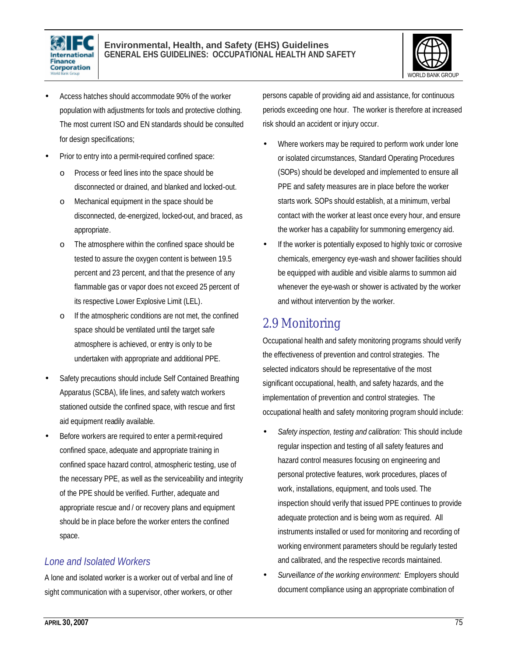



- Access hatches should accommodate 90% of the worker population with adjustments for tools and protective clothing. The most current ISO and EN standards should be consulted for design specifications;
- Prior to entry into a permit-required confined space:
	- o Process or feed lines into the space should be disconnected or drained, and blanked and locked-out.
	- o Mechanical equipment in the space should be disconnected, de-energized, locked-out, and braced, as appropriate.
	- o The atmosphere within the confined space should be tested to assure the oxygen content is between 19.5 percent and 23 percent, and that the presence of any flammable gas or vapor does not exceed 25 percent of its respective Lower Explosive Limit (LEL).
	- o If the atmospheric conditions are not met, the confined space should be ventilated until the target safe atmosphere is achieved, or entry is only to be undertaken with appropriate and additional PPE.
- Safety precautions should include Self Contained Breathing Apparatus (SCBA), life lines, and safety watch workers stationed outside the confined space, with rescue and first aid equipment readily available.
- Before workers are required to enter a permit-required confined space, adequate and appropriate training in confined space hazard control, atmospheric testing, use of the necessary PPE, as well as the serviceability and integrity of the PPE should be verified. Further, adequate and appropriate rescue and / or recovery plans and equipment should be in place before the worker enters the confined space.

#### *Lone and Isolated Workers*

A lone and isolated worker is a worker out of verbal and line of sight communication with a supervisor, other workers, or other persons capable of providing aid and assistance, for continuous periods exceeding one hour. The worker is therefore at increased risk should an accident or injury occur.

- Where workers may be required to perform work under lone or isolated circumstances, Standard Operating Procedures (SOPs) should be developed and implemented to ensure all PPE and safety measures are in place before the worker starts work. SOPs should establish, at a minimum, verbal contact with the worker at least once every hour, and ensure the worker has a capability for summoning emergency aid.
- If the worker is potentially exposed to highly toxic or corrosive chemicals, emergency eye-wash and shower facilities should be equipped with audible and visible alarms to summon aid whenever the eye-wash or shower is activated by the worker and without intervention by the worker.

## 2.9 Monitoring

Occupational health and safety monitoring programs should verify the effectiveness of prevention and control strategies. The selected indicators should be representative of the most significant occupational, health, and safety hazards, and the implementation of prevention and control strategies. The occupational health and safety monitoring program should include:

- *Safety inspection, testing and calibration:* This should include regular inspection and testing of all safety features and hazard control measures focusing on engineering and personal protective features, work procedures, places of work, installations, equipment, and tools used. The inspection should verify that issued PPE continues to provide adequate protection and is being worn as required. All instruments installed or used for monitoring and recording of working environment parameters should be regularly tested and calibrated, and the respective records maintained.
- *Surveillance of the working environment:* Employers should document compliance using an appropriate combination of